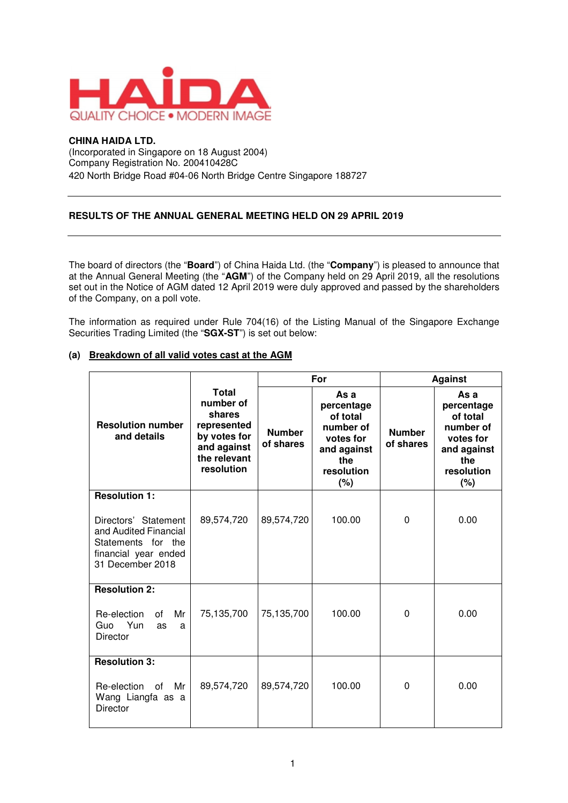

## **CHINA HAIDA LTD.**

(Incorporated in Singapore on 18 August 2004) Company Registration No. 200410428C 420 North Bridge Road #04-06 North Bridge Centre Singapore 188727

## **RESULTS OF THE ANNUAL GENERAL MEETING HELD ON 29 APRIL 2019**

The board of directors (the "**Board**") of China Haida Ltd. (the "**Company**") is pleased to announce that at the Annual General Meeting (the "**AGM**") of the Company held on 29 April 2019, all the resolutions set out in the Notice of AGM dated 12 April 2019 were duly approved and passed by the shareholders of the Company, on a poll vote.

The information as required under Rule 704(16) of the Listing Manual of the Singapore Exchange Securities Trading Limited (the "**SGX-ST**") is set out below:

|                                                                                                                                         |                                                                                                                 | For                        |                                                                                                     | <b>Against</b>             |                                                                                                     |
|-----------------------------------------------------------------------------------------------------------------------------------------|-----------------------------------------------------------------------------------------------------------------|----------------------------|-----------------------------------------------------------------------------------------------------|----------------------------|-----------------------------------------------------------------------------------------------------|
| <b>Resolution number</b><br>and details                                                                                                 | <b>Total</b><br>number of<br>shares<br>represented<br>by votes for<br>and against<br>the relevant<br>resolution | <b>Number</b><br>of shares | As a<br>percentage<br>of total<br>number of<br>votes for<br>and against<br>the<br>resolution<br>(%) | <b>Number</b><br>of shares | As a<br>percentage<br>of total<br>number of<br>votes for<br>and against<br>the<br>resolution<br>(%) |
| <b>Resolution 1:</b><br>Directors' Statement<br>and Audited Financial<br>Statements for the<br>financial year ended<br>31 December 2018 | 89,574,720                                                                                                      | 89,574,720                 | 100.00                                                                                              | $\Omega$                   | 0.00                                                                                                |
| <b>Resolution 2:</b><br>Mr<br>Re-election<br>Ωf<br>Guo Yun<br><b>as</b><br>a<br>Director                                                | 75,135,700                                                                                                      | 75,135,700                 | 100.00                                                                                              | $\Omega$                   | 0.00                                                                                                |
| <b>Resolution 3:</b><br>Re-election<br>0f<br>Mr<br>Wang Liangfa as a<br><b>Director</b>                                                 | 89,574,720                                                                                                      | 89,574,720                 | 100.00                                                                                              | $\mathbf{0}$               | 0.00                                                                                                |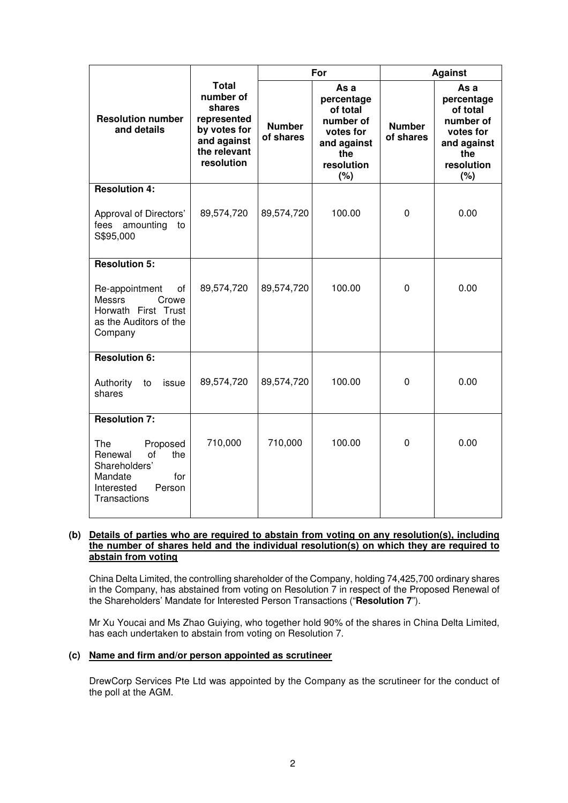|                                                                                                                           |                                                                                                                 | For                        |                                                                                                     | <b>Against</b>             |                                                                                                     |
|---------------------------------------------------------------------------------------------------------------------------|-----------------------------------------------------------------------------------------------------------------|----------------------------|-----------------------------------------------------------------------------------------------------|----------------------------|-----------------------------------------------------------------------------------------------------|
| <b>Resolution number</b><br>and details                                                                                   | <b>Total</b><br>number of<br>shares<br>represented<br>by votes for<br>and against<br>the relevant<br>resolution | <b>Number</b><br>of shares | As a<br>percentage<br>of total<br>number of<br>votes for<br>and against<br>the<br>resolution<br>(%) | <b>Number</b><br>of shares | As a<br>percentage<br>of total<br>number of<br>votes for<br>and against<br>the<br>resolution<br>(%) |
| <b>Resolution 4:</b>                                                                                                      |                                                                                                                 |                            |                                                                                                     |                            |                                                                                                     |
| Approval of Directors'<br>fees amounting<br>to<br>S\$95,000                                                               | 89,574,720                                                                                                      | 89,574,720                 | 100.00                                                                                              | $\overline{0}$             | 0.00                                                                                                |
| <b>Resolution 5:</b>                                                                                                      |                                                                                                                 |                            |                                                                                                     |                            |                                                                                                     |
| Re-appointment<br>οf<br><b>Messrs</b><br>Crowe<br>Horwath First Trust<br>as the Auditors of the<br>Company                | 89,574,720                                                                                                      | 89,574,720                 | 100.00                                                                                              | $\mathbf 0$                | 0.00                                                                                                |
| <b>Resolution 6:</b>                                                                                                      |                                                                                                                 |                            |                                                                                                     |                            |                                                                                                     |
| Authority<br>to<br>issue<br>shares                                                                                        | 89,574,720                                                                                                      | 89,574,720                 | 100.00                                                                                              | $\mathbf 0$                | 0.00                                                                                                |
| <b>Resolution 7:</b>                                                                                                      |                                                                                                                 |                            |                                                                                                     |                            |                                                                                                     |
| <b>The</b><br>Proposed<br>Renewal<br>of<br>the<br>Shareholders'<br>Mandate<br>for<br>Interested<br>Person<br>Transactions | 710,000                                                                                                         | 710,000                    | 100.00                                                                                              | $\mathbf 0$                | 0.00                                                                                                |

## **(b) Details of parties who are required to abstain from voting on any resolution(s), including the number of shares held and the individual resolution(s) on which they are required to abstain from voting**

China Delta Limited, the controlling shareholder of the Company, holding 74,425,700 ordinary shares in the Company, has abstained from voting on Resolution 7 in respect of the Proposed Renewal of the Shareholders' Mandate for Interested Person Transactions ("**Resolution 7**").

Mr Xu Youcai and Ms Zhao Guiying, who together hold 90% of the shares in China Delta Limited, has each undertaken to abstain from voting on Resolution 7.

## **(c) Name and firm and/or person appointed as scrutineer**

DrewCorp Services Pte Ltd was appointed by the Company as the scrutineer for the conduct of the poll at the AGM.